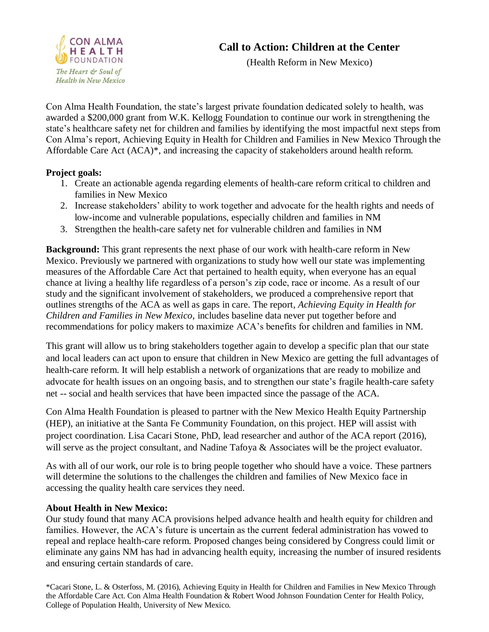

# **Call to Action: Children at the Center**

(Health Reform in New Mexico)

Con Alma Health Foundation, the state's largest private foundation dedicated solely to health, was awarded a \$200,000 grant from W.K. Kellogg Foundation to continue our work in strengthening the state's healthcare safety net for children and families by identifying the most impactful next steps from Con Alma's report, Achieving Equity in Health for Children and Families in New Mexico Through the Affordable Care Act (ACA)\*, and increasing the capacity of stakeholders around health reform.

#### **Project goals:**

- 1. Create an actionable agenda regarding elements of health-care reform critical to children and families in New Mexico
- 2. Increase stakeholders' ability to work together and advocate for the health rights and needs of low-income and vulnerable populations, especially children and families in NM
- 3. Strengthen the health-care safety net for vulnerable children and families in NM

**Background:** This grant represents the next phase of our work with health-care reform in New Mexico. Previously we partnered with organizations to study how well our state was implementing measures of the Affordable Care Act that pertained to health equity, when everyone has an equal chance at living a healthy life regardless of a person's zip code, race or income. As a result of our study and the significant involvement of stakeholders, we produced a comprehensive report that outlines strengths of the ACA as well as gaps in care. The report, *Achieving Equity in Health for Children and Families in New Mexico,* includes baseline data never put together before and recommendations for policy makers to maximize ACA's benefits for children and families in NM.

This grant will allow us to bring stakeholders together again to develop a specific plan that our state and local leaders can act upon to ensure that children in New Mexico are getting the full advantages of health-care reform. It will help establish a network of organizations that are ready to mobilize and advocate for health issues on an ongoing basis, and to strengthen our state's fragile health-care safety net -- social and health services that have been impacted since the passage of the ACA.

Con Alma Health Foundation is pleased to partner with the New Mexico Health Equity Partnership (HEP), an initiative at the Santa Fe Community Foundation, on this project. HEP will assist with project coordination. Lisa Cacari Stone, PhD, lead researcher and author of the ACA report (2016), will serve as the project consultant, and Nadine Tafoya & Associates will be the project evaluator.

As with all of our work, our role is to bring people together who should have a voice. These partners will determine the solutions to the challenges the children and families of New Mexico face in accessing the quality health care services they need.

#### **About Health in New Mexico:**

Our study found that many ACA provisions helped advance health and health equity for children and families. However, the ACA's future is uncertain as the current federal administration has vowed to repeal and replace health-care reform. Proposed changes being considered by Congress could limit or eliminate any gains NM has had in advancing health equity, increasing the number of insured residents and ensuring certain standards of care.

\*Cacari Stone, L. & Osterfoss, M. (2016), Achieving Equity in Health for Children and Families in New Mexico Through the Affordable Care Act. Con Alma Health Foundation & Robert Wood Johnson Foundation Center for Health Policy, College of Population Health, University of New Mexico.